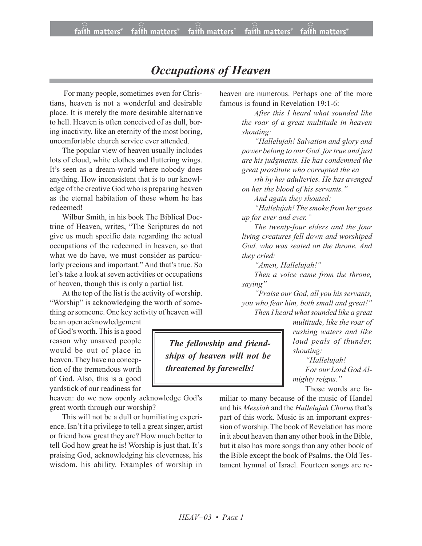## *Occupations of Heaven*

 For many people, sometimes even for Christians, heaven is not a wonderful and desirable place. It is merely the more desirable alternative to hell. Heaven is often conceived of as dull, boring inactivity, like an eternity of the most boring, uncomfortable church service ever attended.

The popular view of heaven usually includes lots of cloud, white clothes and fluttering wings. It's seen as a dream-world where nobody does anything. How inconsistent that is to our knowledge of the creative God who is preparing heaven as the eternal habitation of those whom he has redeemed!

Wilbur Smith, in his book The Biblical Doctrine of Heaven, writes, "The Scriptures do not give us much specific data regarding the actual occupations of the redeemed in heaven, so that what we do have, we must consider as particularly precious and important*.*" And that's true. So let's take a look at seven activities or occupations of heaven, though this is only a partial list.

At the top of the list is the activity of worship. "Worship" is acknowledging the worth of something orsomeone. One key activity of heaven will

be an open acknowledgement of God's worth. This is a good reason why unsaved people would be out of place in heaven.They have no conception of the tremendous worth of God. Also, this is a good yardstick of our readiness for

heaven: do we now openly acknowledge God's great worth through our worship?

This will not be a dull or humiliating experience. Isn't it a privilege to tell a great singer, artist or friend how great they are? How much better to tell God how great he is! Worship is just that. It's praising God, acknowledging his cleverness, his wisdom, his ability. Examples of worship in heaven are numerous. Perhaps one of the more famous is found in Revelation 19:1-6:

> *After this I heard what sounded like the roar of a great multitude in heaven shouting:*

> *"Hallelujah! Salvation and glory and power belong to our God, for true and just are his judgments. He has condemned the great prostitute who corrupted the ea*

> *rth by her adulteries. He has avenged on her the blood of his servants."*

*And again they shouted:*

*"Hallelujah! The smoke from her goes up for ever and ever."*

*The twenty-four elders and the four living creatures fell down and worshiped God, who was seated on the throne. And they cried:*

*"Amen, Hallelujah!"*

*Then a voice came from the throne, saying"*

*"Praise our God, all you his servants, you who fear him, both small and great!" Then I heard what sounded like a great* 

 *The fellowship and friendships of heaven will not be threatened by farewells!*

*multitude, like the roar of rushing waters and like loud peals of thunder, shouting:*

*"Hallelujah! For our Lord God Almighty reigns."*

Those words are fa-

miliar to many because of the music of Handel and his *Messiah* and the *Hallelujah Chorus* that's part of this work. Music is an important expression of worship. The book of Revelation has more in it about heaven than any other book in the Bible, but it also has more songs than any other book of the Bible except the book of Psalms, the Old Testament hymnal of Israel. Fourteen songs are re-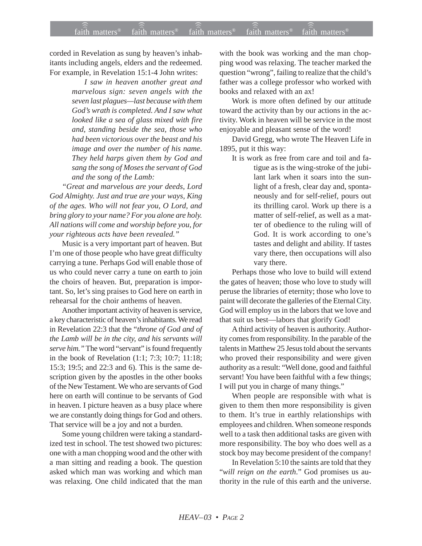## faith matters® faith matters® faith matters® faith matters® faith matters® ))) ))) ))) faith matters® faith matters® faith matters<sup>®</sup>

corded in Revelation as sung by heaven's inhabitants including angels, elders and the redeemed. For example, in Revelation 15:1-4 John writes:

> *I saw in heaven another great and marvelous sign: seven angels with the seven last plagues—last because with them God's wrath is completed. And I saw what looked like a sea of glass mixed with fire and, standing beside the sea, those who had been victorious over the beast and his image and over the number of his name. They held harps given them by God and sang the song of Moses the servant of God and the song of the Lamb:*

*"Great and marvelous are your deeds, Lord God Almighty. Just and true are your ways, King of the ages. Who will not fear you, O Lord, and bring glory to your name? For you alone are holy. All nations will come and worship before you, for your righteous acts have been revealed."*

Music is a very important part of heaven. But I'm one of those people who have great difficulty carrying a tune. Perhaps God will enable those of us who could never carry a tune on earth to join the choirs of heaven. But, preparation is important. So, let's sing praises to God here on earth in rehearsal for the choir anthems of heaven.

Another important activity of heaven is service, a key characteristic of heaven's inhabitants. We read in Revelation 22:3 that the "*throne of God and of the Lamb will be in the city, and his servants will serve him."* The word "servant" is found frequently in the book of Revelation (1:1; 7:3; 10:7; 11:18; 15:3; 19:5; and 22:3 and 6). This is the same description given by the apostles in the other books of the New Testament. We who are servants of God here on earth will continue to be servants of God in heaven. I picture heaven as a busy place where we are constantly doing things for God and others. That service will be a joy and not a burden.

Some young children were taking a standardized test in school. The test showed two pictures: one with a man chopping wood and the other with a man sitting and reading a book. The question asked which man was working and which man was relaxing. One child indicated that the man with the book was working and the man chopping wood was relaxing. The teacher marked the question "wrong", failing to realize that the child's father was a college professor who worked with books and relaxed with an ax!

Work is more often defined by our attitude toward the activity than by our actions in the activity. Work in heaven will be service in the most enjoyable and pleasant sense of the word!

David Gregg, who wrote The Heaven Life in 1895, put it this way:

It is work as free from care and toil and fatigue as is the wing-stroke of the jubilant lark when it soars into the sunlight of a fresh, clear day and, spontaneously and for self-relief, pours out its thrilling carol. Work up there is a matter of self-relief, as well as a matter of obedience to the ruling will of God. It is work according to one's tastes and delight and ability. If tastes vary there, then occupations will also vary there.

Perhaps those who love to build will extend the gates of heaven; those who love to study will peruse the libraries of eternity; those who love to paint will decorate the galleries of the Eternal City. God will employ us in the labors that we love and that suit us best—labors that glorify God!

A third activity of heaven is authority. Authority comes from responsibility. In the parable of the talents in Matthew 25 Jesus told about the servants who proved their responsibility and were given authority as a result: "Well done, good and faithful servant! You have been faithful with a few things; I will put you in charge of many things."

When people are responsible with what is given to them then more responsibility is given to them. It's true in earthly relationships with employees and children. When someone responds well to a task then additional tasks are given with more responsibility. The boy who does well as a stock boy may become president of the company!

In Revelation 5:10 the saints are told that they "*will reign on the earth*." God promises us authority in the rule of this earth and the universe.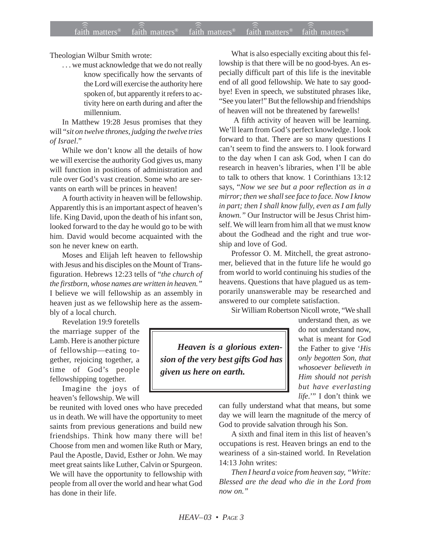Theologian Wilbur Smith wrote:

. . . we must acknowledge that we do not really know specifically how the servants of the Lord will exercise the authority here spoken of, but apparently it refers to activity here on earth during and after the millennium.

In Matthew 19:28 Jesus promises that they will "*sit on twelve thrones, judging the twelve tries of Israel*."

While we don't know all the details of how we will exercise the authority God gives us, many will function in positions of administration and rule over God's vast creation. Some who are servants on earth will be princes in heaven!

A fourth activity in heaven will be fellowship. Apparently this is an important aspect of heaven's life. King David, upon the death of his infant son, looked forward to the day he would go to be with him. David would become acquainted with the son he never knew on earth.

Moses and Elijah left heaven to fellowship with Jesus and his disciples on the Mount of Transfiguration. Hebrews 12:23 tells of "*the church of the firstborn, whose names are written in heaven."* I believe we will fellowship as an assembly in heaven just as we fellowship here as the assembly of a local church.

Revelation 19:9 foretells the marriage supper of the Lamb. Here is another picture of fellowship—eating together, rejoicing together, a time of God's people fellowshipping together.

Imagine the joys of heaven's fellowship. We will

be reunited with loved ones who have preceded us in death. We will have the opportunity to meet saints from previous generations and build new friendships. Think how many there will be! Choose from men and women like Ruth or Mary, Paul the Apostle, David, Esther or John. We may meet great saints like Luther, Calvin or Spurgeon. We will have the opportunity to fellowship with people from all over the world and hear what God has done in their life.

What is also especially exciting about this fellowship is that there will be no good-byes. An especially difficult part of this life is the inevitable end of all good fellowship. We hate to say goodbye! Even in speech, we substituted phrases like, "See you later!" But the fellowship and friendships of heaven will not be threatened by farewells!

 A fifth activity of heaven will be learning. We'll learn from God's perfect knowledge. I look forward to that. There are so many questions I can't seem to find the answers to. I look forward to the day when I can ask God, when I can do research in heaven's libraries, when I'll be able to talk to others that know. 1 Corinthians 13:12 says, "*Now we see but a poor reflection as in a mirror; then we shall see face to face. Now I know in part; then I shall know fully, even as I am fully known."* Our Instructor will be Jesus Christ himself. We will learn from him all that we must know about the Godhead and the right and true worship and love of God.

Professor O. M. Mitchell, the great astronomer, believed that in the future life he would go from world to world continuing his studies of the heavens. Questions that have plagued us as temporarily unanswerable may be researched and answered to our complete satisfaction.

Sir William Robertson Nicoll wrote, "We shall

*Heaven is a glorious extension of the very best gifts God has given us here on earth.*

understand then, as we do not understand now, what is meant for God the Father to give '*His only begotten Son, that whosoever believeth in Him should not perish but have everlasting life*.'" I don't think we

can fully understand what that means, but some day we will learn the magnitude of the mercy of God to provide salvation through his Son.

A sixth and final item in this list of heaven's occupations is rest. Heaven brings an end to the weariness of a sin-stained world. In Revelation 14:13 John writes:

*Then I heard a voice from heaven say, "Write: Blessed are the dead who die in the Lord from now on."*